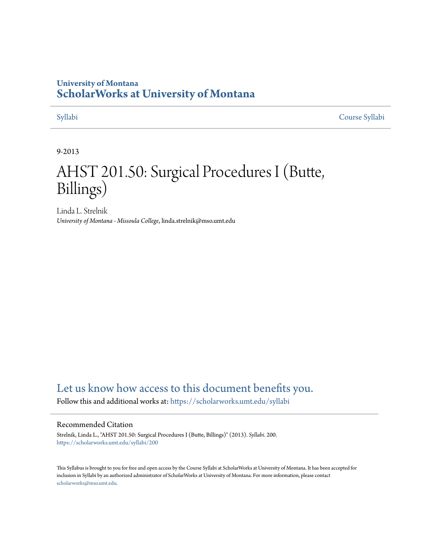## **University of Montana [ScholarWorks at University of Montana](https://scholarworks.umt.edu?utm_source=scholarworks.umt.edu%2Fsyllabi%2F200&utm_medium=PDF&utm_campaign=PDFCoverPages)**

[Syllabi](https://scholarworks.umt.edu/syllabi?utm_source=scholarworks.umt.edu%2Fsyllabi%2F200&utm_medium=PDF&utm_campaign=PDFCoverPages) [Course Syllabi](https://scholarworks.umt.edu/course_syllabi?utm_source=scholarworks.umt.edu%2Fsyllabi%2F200&utm_medium=PDF&utm_campaign=PDFCoverPages)

#### 9-2013

# AHST 201.50: Surgical Procedures I (Butte, Billings)

Linda L. Strelnik *University of Montana - Missoula College*, linda.strelnik@mso.umt.edu

# [Let us know how access to this document benefits you.](https://goo.gl/forms/s2rGfXOLzz71qgsB2)

Follow this and additional works at: [https://scholarworks.umt.edu/syllabi](https://scholarworks.umt.edu/syllabi?utm_source=scholarworks.umt.edu%2Fsyllabi%2F200&utm_medium=PDF&utm_campaign=PDFCoverPages)

#### Recommended Citation

Strelnik, Linda L., "AHST 201.50: Surgical Procedures I (Butte, Billings)" (2013). *Syllabi*. 200. [https://scholarworks.umt.edu/syllabi/200](https://scholarworks.umt.edu/syllabi/200?utm_source=scholarworks.umt.edu%2Fsyllabi%2F200&utm_medium=PDF&utm_campaign=PDFCoverPages)

This Syllabus is brought to you for free and open access by the Course Syllabi at ScholarWorks at University of Montana. It has been accepted for inclusion in Syllabi by an authorized administrator of ScholarWorks at University of Montana. For more information, please contact [scholarworks@mso.umt.edu](mailto:scholarworks@mso.umt.edu).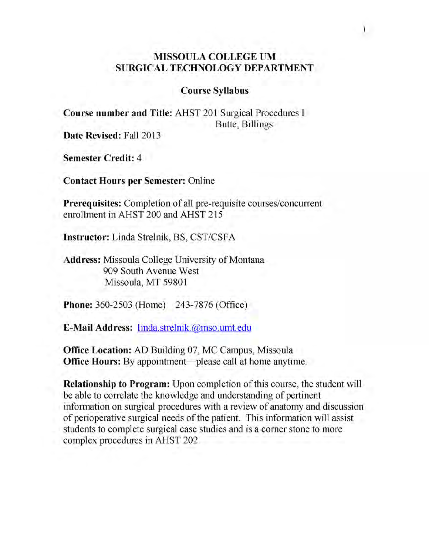### **MISSOULA COLLEGE UM SURGICAL TECHNOLOGY DEPARTMENT**

#### **Course Syllabus**

**Course number and Title:** AHST 201 Surgical Procedures I Butte, Billings

**Date Revised: Fall 2013**

**Semester Credit: 4**

**Contact Hours per Semester:** Online

**Prerequisites:** Completion of all pre-requisite courses/concurrent enrollment in AHST 200 and AHST 215

**Instructor:** Linda Strelnik, BS, CST/CSFA

**Address:** Missoula College University of Montana 909 South Avenue West Missoula, MT 59801

**Phone:** 360-2503 (Home) 243-7876 (Office)

**E-Mail Address:** linda.strelnik.@mso.umt.edu

**Office Location:** AD Building 07, MC Campus, Missoula **Office Hours:** By appointment—please call at home anytime.

**Relationship to Program:** Upon completion of this course, the student will be able to correlate the knowledge and understanding of pertinent information on surgical procedures with a review of anatomy and discussion of perioperative surgical needs of the patient. This information will assist students to complete surgical case studies and is a comer stone to more complex procedures in AHST 202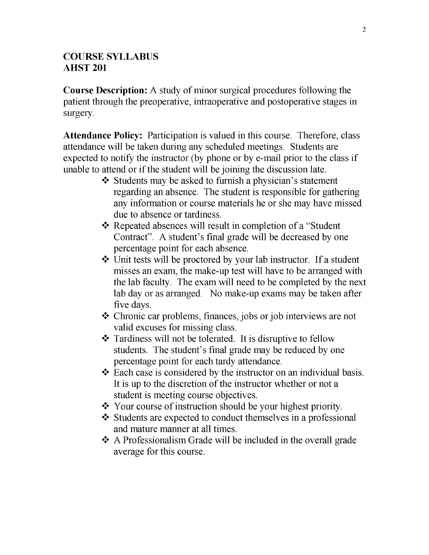#### **COURSE SYLLABUS AHST 201**

**Course Description:** A study of minor surgical procedures following the patient through the preoperative, intraoperative and postoperative stages in surgery.

**Attendance Policy:** Participation is valued in this course. Therefore, class attendance will be taken during any scheduled meetings. Students are expected to notify the instructor (by phone or by e-mail prior to the class if unable to attend or if the student will be joining the discussion late.

- $\triangle$  Students may be asked to furnish a physician's statement regarding an absence. The student is responsible for gathering any information or course materials he or she may have missed due to absence or tardiness.
- ❖ Repeated absences will result in completion of a "Student Contract". A student's final grade will be decreased by one percentage point for each absence.
- ❖ Unit tests will be proctored by your lab instructor. If a student misses an exam, the make-up test will have to be arranged with the lab faculty. The exam will need to be completed by the next lab day or as arranged. No make-up exams may be taken after five days.
- ❖ Chronic car problems, finances, jobs or job interviews are not valid excuses for missing class.
- ❖ Tardiness will not be tolerated. It is disruptive to fellow students. The student's final grade may be reduced by one percentage point for each tardy attendance.
- ❖ Each case is considered by the instructor on an individual basis. It is up to the discretion of the instructor whether or not a student is meeting course objectives.
- ❖ Your course of instruction should be your highest priority.
- ♦> Students are expected to conduct themselves in a professional and mature manner at all times.
- ❖ A Professionalism Grade will be included in the overall grade average for this course.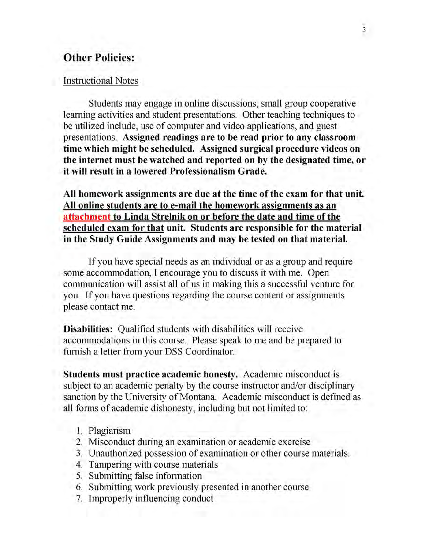# **Other Policies:**

#### Instructional Notes

Students may engage in online discussions, small group cooperative learning activities and student presentations. Other teaching techniques to be utilized include, use of computer and video applications, and guest presentations. **Assigned readings are to be read prior to any classroom time which might be scheduled. Assigned surgical procedure videos on the internet must be watched and reported on by the designated time, or it will result in a lowered Professionalism Grade.**

**All homework assignments are due at the time of the exam for that unit. All online students are to e-mail the homework assignments as an attachment to Linda Strelnik on or before the date and time of the scheduled exam for that unit. Students are responsible for the material in the Study Guide Assignments and may be tested on that material.**

If you have special needs as an individual or as a group and require some accommodation, I encourage you to discuss it with me. Open communication will assist all of us in making this a successful venture for you. If you have questions regarding the course content or assignments please contact me.

**Disabilities:** Qualified students with disabilities will receive accommodations in this course. Please speak to me and be prepared to furnish a letter from your DSS Coordinator.

**Students must practice academic honesty.** Academic misconduct is subject to an academic penalty by the course instructor and/or disciplinary sanction by the University of Montana. Academic misconduct is defined as all forms of academic dishonesty, including but not limited to:

- 1. Plagiarism
- 2. Misconduct during an examination or academic exercise
- 3. Unauthorized possession of examination or other course materials.
- 4. Tampering with course materials
- 5. Submitting false information
- 6. Submitting work previously presented in another course
- 7. Improperly influencing conduct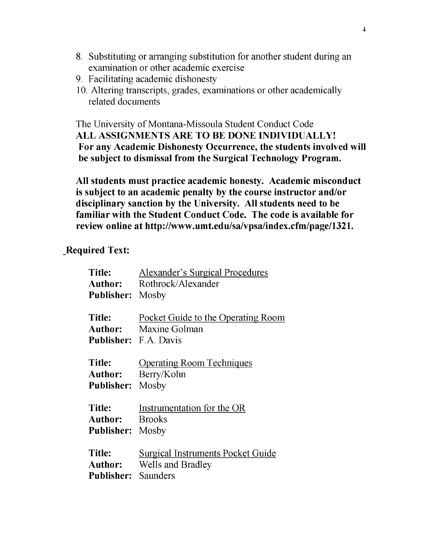- 8. Substituting or arranging substitution for another student during an examination or other academic exercise
- 9. Facilitating academic dishonesty
- 10. Altering transcripts, grades, examinations or other academically related documents

The University of Montana-Missoula Student Conduct Code **ALL ASSIGNMENTS ARE TO BE DONE INDIVIDUALLY! For any Academic Dishonesty Occurrence, the students involved will be subject to dismissal from the Surgical Technology Program.**

**All students must practice academic honesty. Academic misconduct is subject to an academic penalty by the course instructor and/or disciplinary sanction by the University. All students need to be familiar with the Student Conduct Code. The code is available for review online at http://www.umt.edu/sa/vpsa/index.cfm/page/1321.**

### **Required Text:**

| Title:                     | <b>Alexander's Surgical Procedures</b>   |  |
|----------------------------|------------------------------------------|--|
| Author:                    | Rothrock/Alexander                       |  |
| <b>Publisher:</b> Mosby    |                                          |  |
|                            |                                          |  |
| Title:                     | Pocket Guide to the Operating Room       |  |
|                            | <b>Author:</b> Maxine Golman             |  |
|                            | Publisher: F.A. Davis                    |  |
| <b>Title:</b>              | <b>Operating Room Techniques</b>         |  |
|                            |                                          |  |
|                            | <b>Author:</b> Berry/Kohn                |  |
| <b>Publisher:</b> Mosby    |                                          |  |
| <b>Title:</b>              | Instrumentation for the OR               |  |
| Author:                    | <b>Brooks</b>                            |  |
|                            |                                          |  |
| <b>Publisher:</b> Mosby    |                                          |  |
| <b>Title:</b>              | <b>Surgical Instruments Pocket Guide</b> |  |
|                            | <b>Author:</b> Wells and Bradley         |  |
| <b>Publisher:</b> Saunders |                                          |  |
|                            |                                          |  |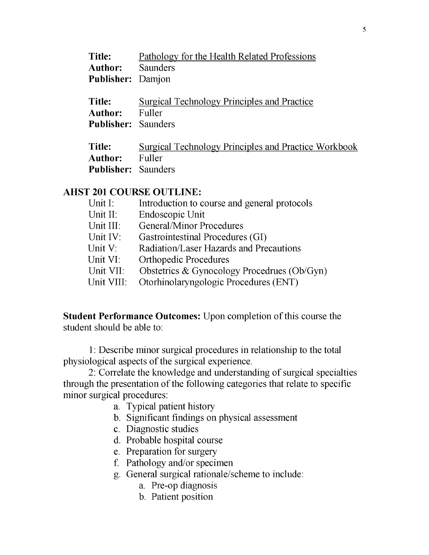| Title:                                          | Pathology for the Health Related Professions                 |
|-------------------------------------------------|--------------------------------------------------------------|
| <b>Author:</b> Saunders                         |                                                              |
| Publisher: Damjon                               |                                                              |
| Title:<br>Author:<br><b>Publisher:</b> Saunders | <b>Surgical Technology Principles and Practice</b><br>Fuller |

| Title:                     | Surgical Technology Principles and Practice Workbook |
|----------------------------|------------------------------------------------------|
| Author:                    | - Fuller                                             |
| <b>Publisher:</b> Saunders |                                                      |

#### **AHST 201 COURSE OUTLINE:**

| Unit I:    | Introduction to course and general protocols |
|------------|----------------------------------------------|
| Unit II:   | Endoscopic Unit                              |
| Unit III:  | <b>General/Minor Procedures</b>              |
| Unit IV:   | Gastrointestinal Procedures (GI)             |
| Unit V:    | Radiation/Laser Hazards and Precautions      |
| Unit VI:   | <b>Orthopedic Procedures</b>                 |
| Unit VII:  | Obstetrics & Gynocology Procedrues (Ob/Gyn)  |
| Unit VIII: | Otorhinolaryngologic Procedures (ENT)        |

**Student Performance Outcomes:** Upon completion of this course the student should be able to:

1: Describe minor surgical procedures in relationship to the total physiological aspects of the surgical experience.

2: Correlate the knowledge and understanding of surgical specialties through the presentation of the following categories that relate to specific minor surgical procedures:

- a. Typical patient history
- b. Significant findings on physical assessment
- c. Diagnostic studies
- d. Probable hospital course
- e. Preparation for surgery
- f. Pathology and/or specimen
- g. General surgical rationale/scheme to include:
	- a. Pre-op diagnosis
	- b. Patient position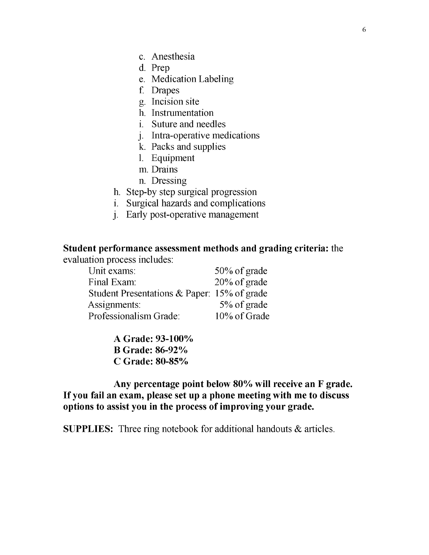- c. Anesthesia
- d. Prep
- e. Medication Labeling
- f. Drapes
- g- Incision site
- h. Instrumentation
- i. Suture and needles
- j- Intra-operative medications
- k. Packs and supplies
- 1**.** Equipment
- m. Drains
- n. Dressing
- h. Step-by step surgical progression
- i. Surgical hazards and complications
- j. Early post-operative management

# **Student performance assessment methods and grading criteria:** the

evaluation process includes:

| Unit exams:                                    | 50% of grade |
|------------------------------------------------|--------------|
| Final Exam:                                    | 20% of grade |
| Student Presentations & Paper: $15\%$ of grade |              |
| Assignments:                                   | 5% of grade  |
| Professionalism Grade:                         | 10% of Grade |

**A Grade: 93-100% B Grade: 86-92% C Grade: 80-85%**

**Any percentage point below 80% will receive an F grade. If you fail an exam, please set up a phone meeting with me to discuss options to assist you in the process of improving your grade.**

**SUPPLIES:** Three ring notebook for additional handouts & articles.